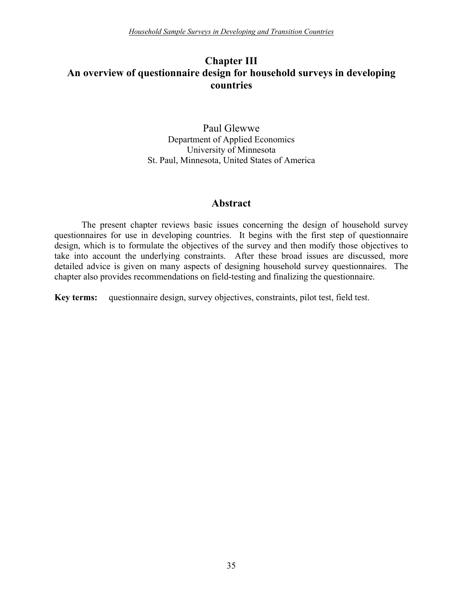## **Chapter III An overview of questionnaire design for household surveys in developing countries**

Paul Glewwe Department of Applied Economics University of Minnesota St. Paul, Minnesota, United States of America

### **Abstract**

The present chapter reviews basic issues concerning the design of household survey questionnaires for use in developing countries. It begins with the first step of questionnaire design, which is to formulate the objectives of the survey and then modify those objectives to take into account the underlying constraints. After these broad issues are discussed, more detailed advice is given on many aspects of designing household survey questionnaires. The chapter also provides recommendations on field-testing and finalizing the questionnaire.

**Key terms:** questionnaire design, survey objectives, constraints, pilot test, field test.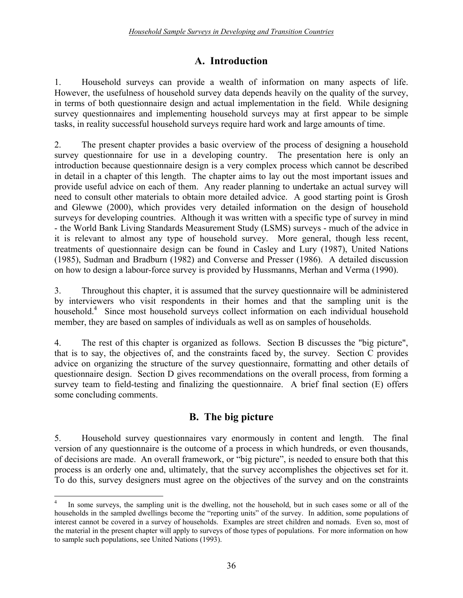# **A. Introduction**

1. Household surveys can provide a wealth of information on many aspects of life. However, the usefulness of household survey data depends heavily on the quality of the survey, in terms of both questionnaire design and actual implementation in the field. While designing survey questionnaires and implementing household surveys may at first appear to be simple tasks, in reality successful household surveys require hard work and large amounts of time.

2. The present chapter provides a basic overview of the process of designing a household survey questionnaire for use in a developing country. The presentation here is only an introduction because questionnaire design is a very complex process which cannot be described in detail in a chapter of this length. The chapter aims to lay out the most important issues and provide useful advice on each of them. Any reader planning to undertake an actual survey will need to consult other materials to obtain more detailed advice. A good starting point is Grosh and Glewwe (2000), which provides very detailed information on the design of household surveys for developing countries. Although it was written with a specific type of survey in mind - the World Bank Living Standards Measurement Study (LSMS) surveys - much of the advice in it is relevant to almost any type of household survey. More general, though less recent, treatments of questionnaire design can be found in Casley and Lury (1987), United Nations (1985), Sudman and Bradburn (1982) and Converse and Presser (1986). A detailed discussion on how to design a labour-force survey is provided by Hussmanns, Merhan and Verma (1990).

3. Throughout this chapter, it is assumed that the survey questionnaire will be administered by interviewers who visit respondents in their homes and that the sampling unit is the household.4 Since most household surveys collect information on each individual household member, they are based on samples of individuals as well as on samples of households.

4. The rest of this chapter is organized as follows. Section B discusses the "big picture", that is to say, the objectives of, and the constraints faced by, the survey. Section C provides advice on organizing the structure of the survey questionnaire, formatting and other details of questionnaire design. Section D gives recommendations on the overall process, from forming a survey team to field-testing and finalizing the questionnaire. A brief final section (E) offers some concluding comments.

# **B. The big picture**

5. Household survey questionnaires vary enormously in content and length. The final version of any questionnaire is the outcome of a process in which hundreds, or even thousands, of decisions are made. An overall framework, or "big picture", is needed to ensure both that this process is an orderly one and, ultimately, that the survey accomplishes the objectives set for it. To do this, survey designers must agree on the objectives of the survey and on the constraints

 $\overline{a}$ 

<sup>4</sup> In some surveys, the sampling unit is the dwelling, not the household, but in such cases some or all of the households in the sampled dwellings become the "reporting units" of the survey. In addition, some populations of interest cannot be covered in a survey of households. Examples are street children and nomads. Even so, most of the material in the present chapter will apply to surveys of those types of populations. For more information on how to sample such populations, see United Nations (1993).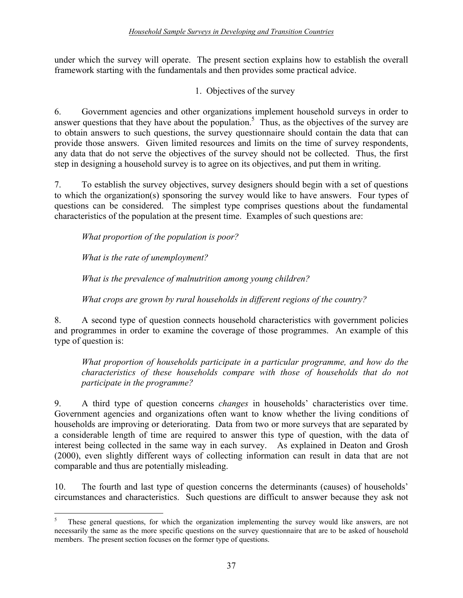under which the survey will operate. The present section explains how to establish the overall framework starting with the fundamentals and then provides some practical advice.

1. Objectives of the survey

6. Government agencies and other organizations implement household surveys in order to answer questions that they have about the population.<sup>5</sup> Thus, as the objectives of the survey are to obtain answers to such questions, the survey questionnaire should contain the data that can provide those answers. Given limited resources and limits on the time of survey respondents, any data that do not serve the objectives of the survey should not be collected. Thus, the first step in designing a household survey is to agree on its objectives, and put them in writing.

7. To establish the survey objectives, survey designers should begin with a set of questions to which the organization(s) sponsoring the survey would like to have answers. Four types of questions can be considered. The simplest type comprises questions about the fundamental characteristics of the population at the present time. Examples of such questions are:

*What proportion of the population is poor?* 

*What is the rate of unemployment?* 

*What is the prevalence of malnutrition among young children?* 

*What crops are grown by rural households in different regions of the country?* 

8. A second type of question connects household characteristics with government policies and programmes in order to examine the coverage of those programmes. An example of this type of question is:

*What proportion of households participate in a particular programme, and how do the characteristics of these households compare with those of households that do not participate in the programme?* 

9. A third type of question concerns *changes* in householdsí characteristics over time. Government agencies and organizations often want to know whether the living conditions of households are improving or deteriorating. Data from two or more surveys that are separated by a considerable length of time are required to answer this type of question, with the data of interest being collected in the same way in each survey. As explained in Deaton and Grosh (2000), even slightly different ways of collecting information can result in data that are not comparable and thus are potentially misleading.

10. The fourth and last type of question concerns the determinants (causes) of households<sup>'</sup> circumstances and characteristics. Such questions are difficult to answer because they ask not

 $\frac{1}{5}$  These general questions, for which the organization implementing the survey would like answers, are not necessarily the same as the more specific questions on the survey questionnaire that are to be asked of household members. The present section focuses on the former type of questions.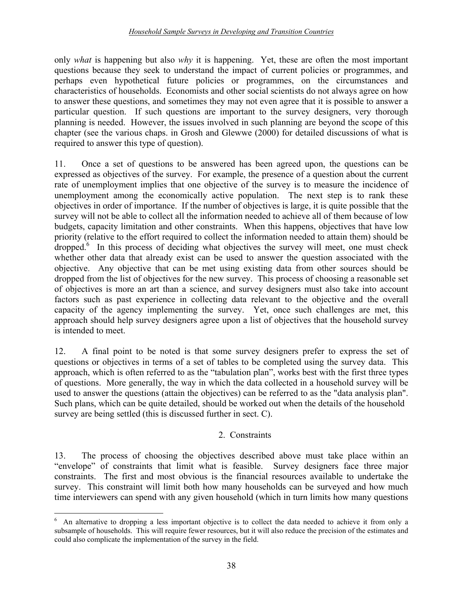only *what* is happening but also *why* it is happening. Yet, these are often the most important questions because they seek to understand the impact of current policies or programmes, and perhaps even hypothetical future policies or programmes, on the circumstances and characteristics of households. Economists and other social scientists do not always agree on how to answer these questions, and sometimes they may not even agree that it is possible to answer a particular question. If such questions are important to the survey designers, very thorough planning is needed. However, the issues involved in such planning are beyond the scope of this chapter (see the various chaps. in Grosh and Glewwe (2000) for detailed discussions of what is required to answer this type of question).

11. Once a set of questions to be answered has been agreed upon, the questions can be expressed as objectives of the survey. For example, the presence of a question about the current rate of unemployment implies that one objective of the survey is to measure the incidence of unemployment among the economically active population. The next step is to rank these objectives in order of importance. If the number of objectives is large, it is quite possible that the survey will not be able to collect all the information needed to achieve all of them because of low budgets, capacity limitation and other constraints. When this happens, objectives that have low priority (relative to the effort required to collect the information needed to attain them) should be dropped. $6$  In this process of deciding what objectives the survey will meet, one must check whether other data that already exist can be used to answer the question associated with the objective. Any objective that can be met using existing data from other sources should be dropped from the list of objectives for the new survey. This process of choosing a reasonable set of objectives is more an art than a science, and survey designers must also take into account factors such as past experience in collecting data relevant to the objective and the overall capacity of the agency implementing the survey. Yet, once such challenges are met, this approach should help survey designers agree upon a list of objectives that the household survey is intended to meet.

12. A final point to be noted is that some survey designers prefer to express the set of questions or objectives in terms of a set of tables to be completed using the survey data. This approach, which is often referred to as the "tabulation plan", works best with the first three types of questions. More generally, the way in which the data collected in a household survey will be used to answer the questions (attain the objectives) can be referred to as the "data analysis plan". Such plans, which can be quite detailed, should be worked out when the details of the household survey are being settled (this is discussed further in sect. C).

### 2. Constraints

13. The process of choosing the objectives described above must take place within an ìenvelopeî of constraints that limit what is feasible. Survey designers face three major constraints. The first and most obvious is the financial resources available to undertake the survey. This constraint will limit both how many households can be surveyed and how much time interviewers can spend with any given household (which in turn limits how many questions

<sup>1</sup> <sup>6</sup> An alternative to dropping a less important objective is to collect the data needed to achieve it from only a subsample of households. This will require fewer resources, but it will also reduce the precision of the estimates and could also complicate the implementation of the survey in the field.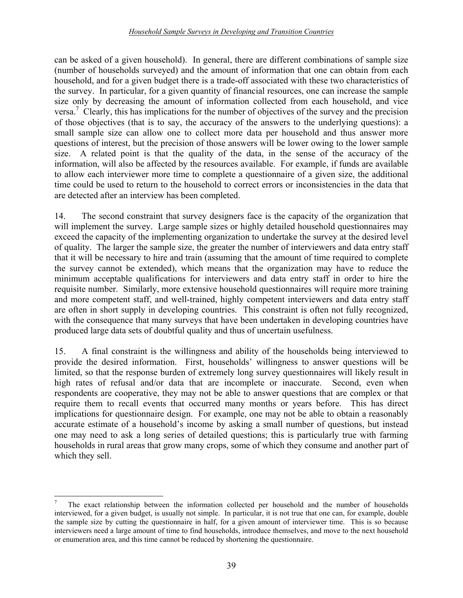can be asked of a given household). In general, there are different combinations of sample size (number of households surveyed) and the amount of information that one can obtain from each household, and for a given budget there is a trade-off associated with these two characteristics of the survey. In particular, for a given quantity of financial resources, one can increase the sample size only by decreasing the amount of information collected from each household, and vice versa.<sup>7</sup> Clearly, this has implications for the number of objectives of the survey and the precision of those objectives (that is to say, the accuracy of the answers to the underlying questions): a small sample size can allow one to collect more data per household and thus answer more questions of interest, but the precision of those answers will be lower owing to the lower sample size. A related point is that the quality of the data, in the sense of the accuracy of the information, will also be affected by the resources available. For example, if funds are available to allow each interviewer more time to complete a questionnaire of a given size, the additional time could be used to return to the household to correct errors or inconsistencies in the data that are detected after an interview has been completed.

14. The second constraint that survey designers face is the capacity of the organization that will implement the survey. Large sample sizes or highly detailed household questionnaires may exceed the capacity of the implementing organization to undertake the survey at the desired level of quality. The larger the sample size, the greater the number of interviewers and data entry staff that it will be necessary to hire and train (assuming that the amount of time required to complete the survey cannot be extended), which means that the organization may have to reduce the minimum acceptable qualifications for interviewers and data entry staff in order to hire the requisite number. Similarly, more extensive household questionnaires will require more training and more competent staff, and well-trained, highly competent interviewers and data entry staff are often in short supply in developing countries. This constraint is often not fully recognized, with the consequence that many surveys that have been undertaken in developing countries have produced large data sets of doubtful quality and thus of uncertain usefulness.

15. A final constraint is the willingness and ability of the households being interviewed to provide the desired information. First, households' willingness to answer questions will be limited, so that the response burden of extremely long survey questionnaires will likely result in high rates of refusal and/or data that are incomplete or inaccurate. Second, even when respondents are cooperative, they may not be able to answer questions that are complex or that require them to recall events that occurred many months or years before. This has direct implications for questionnaire design. For example, one may not be able to obtain a reasonably accurate estimate of a household's income by asking a small number of questions, but instead one may need to ask a long series of detailed questions; this is particularly true with farming households in rural areas that grow many crops, some of which they consume and another part of which they sell.

 $\overline{a}$ 7 The exact relationship between the information collected per household and the number of households interviewed, for a given budget, is usually not simple. In particular, it is not true that one can, for example, double the sample size by cutting the questionnaire in half, for a given amount of interviewer time. This is so because interviewers need a large amount of time to find households, introduce themselves, and move to the next household or enumeration area, and this time cannot be reduced by shortening the questionnaire.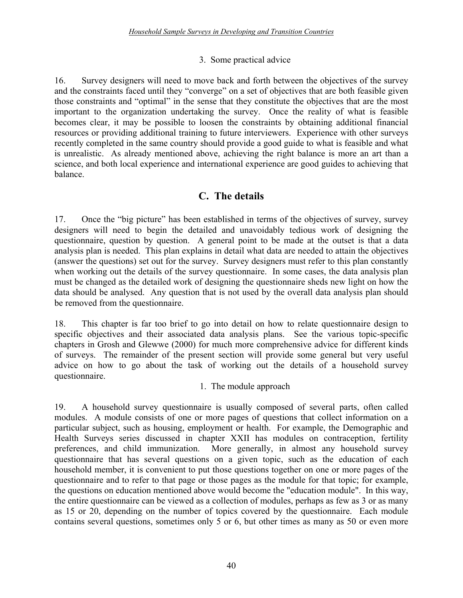### 3. Some practical advice

16. Survey designers will need to move back and forth between the objectives of the survey and the constraints faced until they "converge" on a set of objectives that are both feasible given those constraints and "optimal" in the sense that they constitute the objectives that are the most important to the organization undertaking the survey. Once the reality of what is feasible becomes clear, it may be possible to loosen the constraints by obtaining additional financial resources or providing additional training to future interviewers. Experience with other surveys recently completed in the same country should provide a good guide to what is feasible and what is unrealistic. As already mentioned above, achieving the right balance is more an art than a science, and both local experience and international experience are good guides to achieving that balance.

# **C. The details**

17. Once the "big picture" has been established in terms of the objectives of survey, survey designers will need to begin the detailed and unavoidably tedious work of designing the questionnaire, question by question. A general point to be made at the outset is that a data analysis plan is needed. This plan explains in detail what data are needed to attain the objectives (answer the questions) set out for the survey. Survey designers must refer to this plan constantly when working out the details of the survey questionnaire. In some cases, the data analysis plan must be changed as the detailed work of designing the questionnaire sheds new light on how the data should be analysed. Any question that is not used by the overall data analysis plan should be removed from the questionnaire.

18. This chapter is far too brief to go into detail on how to relate questionnaire design to specific objectives and their associated data analysis plans. See the various topic-specific chapters in Grosh and Glewwe (2000) for much more comprehensive advice for different kinds of surveys. The remainder of the present section will provide some general but very useful advice on how to go about the task of working out the details of a household survey questionnaire.

### 1. The module approach

19. A household survey questionnaire is usually composed of several parts, often called modules. A module consists of one or more pages of questions that collect information on a particular subject, such as housing, employment or health. For example, the Demographic and Health Surveys series discussed in chapter XXII has modules on contraception, fertility preferences, and child immunization. More generally, in almost any household survey questionnaire that has several questions on a given topic, such as the education of each household member, it is convenient to put those questions together on one or more pages of the questionnaire and to refer to that page or those pages as the module for that topic; for example, the questions on education mentioned above would become the "education module". In this way, the entire questionnaire can be viewed as a collection of modules, perhaps as few as 3 or as many as 15 or 20, depending on the number of topics covered by the questionnaire. Each module contains several questions, sometimes only 5 or 6, but other times as many as 50 or even more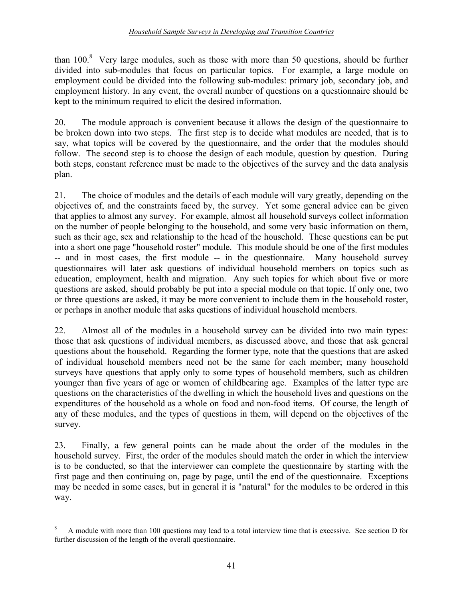#### *Household Sample Surveys in Developing and Transition Countries*

than  $100$ .<sup>8</sup> Very large modules, such as those with more than 50 questions, should be further divided into sub-modules that focus on particular topics. For example, a large module on employment could be divided into the following sub-modules: primary job, secondary job, and employment history. In any event, the overall number of questions on a questionnaire should be kept to the minimum required to elicit the desired information.

20. The module approach is convenient because it allows the design of the questionnaire to be broken down into two steps. The first step is to decide what modules are needed, that is to say, what topics will be covered by the questionnaire, and the order that the modules should follow. The second step is to choose the design of each module, question by question. During both steps, constant reference must be made to the objectives of the survey and the data analysis plan.

21. The choice of modules and the details of each module will vary greatly, depending on the objectives of, and the constraints faced by, the survey. Yet some general advice can be given that applies to almost any survey. For example, almost all household surveys collect information on the number of people belonging to the household, and some very basic information on them, such as their age, sex and relationship to the head of the household. These questions can be put into a short one page "household roster" module. This module should be one of the first modules -- and in most cases, the first module -- in the questionnaire. Many household survey questionnaires will later ask questions of individual household members on topics such as education, employment, health and migration. Any such topics for which about five or more questions are asked, should probably be put into a special module on that topic. If only one, two or three questions are asked, it may be more convenient to include them in the household roster, or perhaps in another module that asks questions of individual household members.

22. Almost all of the modules in a household survey can be divided into two main types: those that ask questions of individual members, as discussed above, and those that ask general questions about the household. Regarding the former type, note that the questions that are asked of individual household members need not be the same for each member; many household surveys have questions that apply only to some types of household members, such as children younger than five years of age or women of childbearing age. Examples of the latter type are questions on the characteristics of the dwelling in which the household lives and questions on the expenditures of the household as a whole on food and non-food items. Of course, the length of any of these modules, and the types of questions in them, will depend on the objectives of the survey.

23. Finally, a few general points can be made about the order of the modules in the household survey. First, the order of the modules should match the order in which the interview is to be conducted, so that the interviewer can complete the questionnaire by starting with the first page and then continuing on, page by page, until the end of the questionnaire. Exceptions may be needed in some cases, but in general it is "natural" for the modules to be ordered in this way.

1

<sup>8</sup> A module with more than 100 questions may lead to a total interview time that is excessive. See section D for further discussion of the length of the overall questionnaire.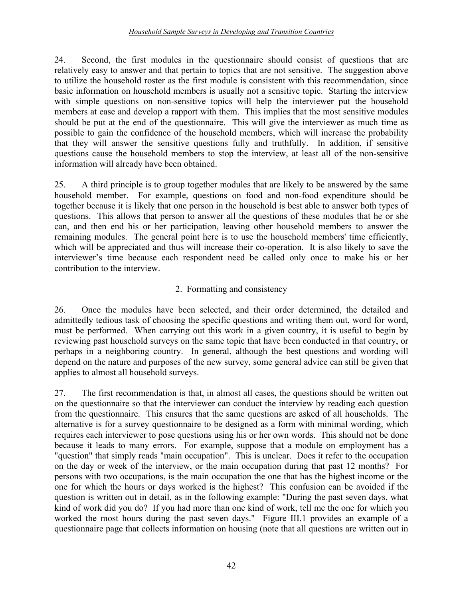24. Second, the first modules in the questionnaire should consist of questions that are relatively easy to answer and that pertain to topics that are not sensitive. The suggestion above to utilize the household roster as the first module is consistent with this recommendation, since basic information on household members is usually not a sensitive topic. Starting the interview with simple questions on non-sensitive topics will help the interviewer put the household members at ease and develop a rapport with them. This implies that the most sensitive modules should be put at the end of the questionnaire. This will give the interviewer as much time as possible to gain the confidence of the household members, which will increase the probability that they will answer the sensitive questions fully and truthfully. In addition, if sensitive questions cause the household members to stop the interview, at least all of the non-sensitive information will already have been obtained.

25. A third principle is to group together modules that are likely to be answered by the same household member. For example, questions on food and non-food expenditure should be together because it is likely that one person in the household is best able to answer both types of questions. This allows that person to answer all the questions of these modules that he or she can, and then end his or her participation, leaving other household members to answer the remaining modules. The general point here is to use the household members' time efficiently, which will be appreciated and thus will increase their co-operation. It is also likely to save the interviewer's time because each respondent need be called only once to make his or her contribution to the interview.

## 2. Formatting and consistency

26. Once the modules have been selected, and their order determined, the detailed and admittedly tedious task of choosing the specific questions and writing them out, word for word, must be performed. When carrying out this work in a given country, it is useful to begin by reviewing past household surveys on the same topic that have been conducted in that country, or perhaps in a neighboring country. In general, although the best questions and wording will depend on the nature and purposes of the new survey, some general advice can still be given that applies to almost all household surveys.

27. The first recommendation is that, in almost all cases, the questions should be written out on the questionnaire so that the interviewer can conduct the interview by reading each question from the questionnaire. This ensures that the same questions are asked of all households. The alternative is for a survey questionnaire to be designed as a form with minimal wording, which requires each interviewer to pose questions using his or her own words. This should not be done because it leads to many errors. For example, suppose that a module on employment has a "question" that simply reads "main occupation". This is unclear. Does it refer to the occupation on the day or week of the interview, or the main occupation during that past 12 months? For persons with two occupations, is the main occupation the one that has the highest income or the one for which the hours or days worked is the highest? This confusion can be avoided if the question is written out in detail, as in the following example: "During the past seven days, what kind of work did you do? If you had more than one kind of work, tell me the one for which you worked the most hours during the past seven days." Figure III.1 provides an example of a questionnaire page that collects information on housing (note that all questions are written out in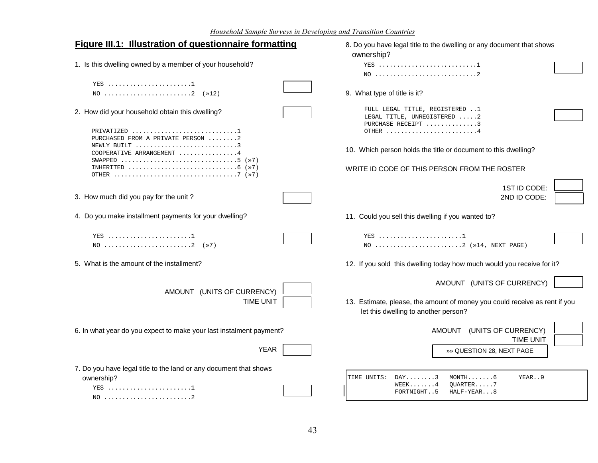*Household Sample Surveys in Developing and Transition Countries*

| <b>Figure III.1: Illustration of questionnaire formatting</b>                                        | 8. Do you have legal title to the dwelling or any document that shows<br>ownership?                                                              |
|------------------------------------------------------------------------------------------------------|--------------------------------------------------------------------------------------------------------------------------------------------------|
| 1. Is this dwelling owned by a member of your household?                                             | YES 1                                                                                                                                            |
| $YES$ 1                                                                                              | 9. What type of title is it?                                                                                                                     |
| 2. How did your household obtain this dwelling?<br>PRIVATIZED 1<br>PURCHASED FROM A PRIVATE PERSON 2 | FULL LEGAL TITLE, REGISTERED 1<br>LEGAL TITLE, UNREGISTERED 2<br>PURCHASE RECEIPT 3<br>OTHER 4                                                   |
| NEWLY BUILT 3<br>COOPERATIVE ARRANGEMENT 4                                                           | 10. Which person holds the title or document to this dwelling?                                                                                   |
|                                                                                                      | WRITE ID CODE OF THIS PERSON FROM THE ROSTER                                                                                                     |
| 3. How much did you pay for the unit?                                                                | 1ST ID CODE:<br>2ND ID CODE:                                                                                                                     |
| 4. Do you make installment payments for your dwelling?                                               | 11. Could you sell this dwelling if you wanted to?                                                                                               |
| $NO$ 2 (»7)                                                                                          | NO 2 ( $>14$ , NEXT PAGE)                                                                                                                        |
| 5. What is the amount of the installment?                                                            | 12. If you sold this dwelling today how much would you receive for it?                                                                           |
| AMOUNT (UNITS OF CURRENCY)<br><b>TIME UNIT</b>                                                       | AMOUNT (UNITS OF CURRENCY)<br>13. Estimate, please, the amount of money you could receive as rent if you<br>let this dwelling to another person? |
| 6. In what year do you expect to make your last instalment payment?                                  | AMOUNT (UNITS OF CURRENCY)<br><b>TIME UNIT</b>                                                                                                   |
| <b>YEAR</b>                                                                                          | » » QUESTION 28, NEXT PAGE                                                                                                                       |
| 7. Do you have legal title to the land or any document that shows<br>ownership?<br>$YES$ 1<br>$NO$ 2 | MONTH6<br>YEAR9<br>TIME UNITS:<br>$DAY$ 3<br>QUARTER7<br>WEEK1<br>HALF-YEAR8<br>FORTNIGHT5                                                       |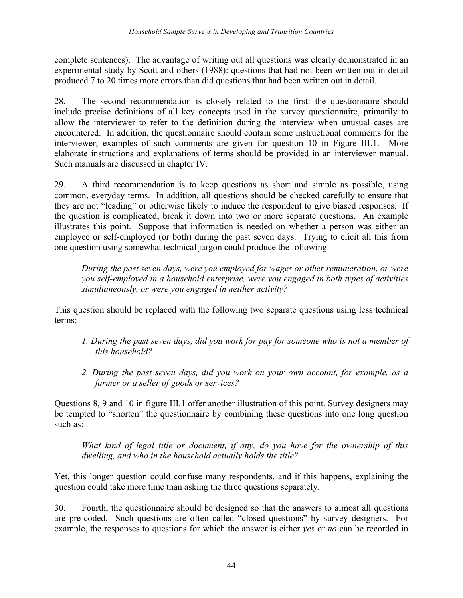complete sentences). The advantage of writing out all questions was clearly demonstrated in an experimental study by Scott and others (1988): questions that had not been written out in detail produced 7 to 20 times more errors than did questions that had been written out in detail.

28. The second recommendation is closely related to the first: the questionnaire should include precise definitions of all key concepts used in the survey questionnaire, primarily to allow the interviewer to refer to the definition during the interview when unusual cases are encountered. In addition, the questionnaire should contain some instructional comments for the interviewer; examples of such comments are given for question 10 in Figure III.1. More elaborate instructions and explanations of terms should be provided in an interviewer manual. Such manuals are discussed in chapter IV.

29. A third recommendation is to keep questions as short and simple as possible, using common, everyday terms. In addition, all questions should be checked carefully to ensure that they are not "leading" or otherwise likely to induce the respondent to give biased responses. If the question is complicated, break it down into two or more separate questions. An example illustrates this point. Suppose that information is needed on whether a person was either an employee or self-employed (or both) during the past seven days. Trying to elicit all this from one question using somewhat technical jargon could produce the following:

*During the past seven days, were you employed for wages or other remuneration, or were you self-employed in a household enterprise, were you engaged in both types of activities simultaneously, or were you engaged in neither activity?* 

This question should be replaced with the following two separate questions using less technical terms:

- *1. During the past seven days, did you work for pay for someone who is not a member of this household?*
- *2. During the past seven days, did you work on your own account, for example, as a farmer or a seller of goods or services?*

Questions 8, 9 and 10 in figure III.1 offer another illustration of this point. Survey designers may be tempted to "shorten" the questionnaire by combining these questions into one long question such as:

*What kind of legal title or document, if any, do you have for the ownership of this dwelling, and who in the household actually holds the title?* 

Yet, this longer question could confuse many respondents, and if this happens, explaining the question could take more time than asking the three questions separately.

30. Fourth, the questionnaire should be designed so that the answers to almost all questions are pre-coded. Such questions are often called "closed questions" by survey designers. For example, the responses to questions for which the answer is either *yes* or *no* can be recorded in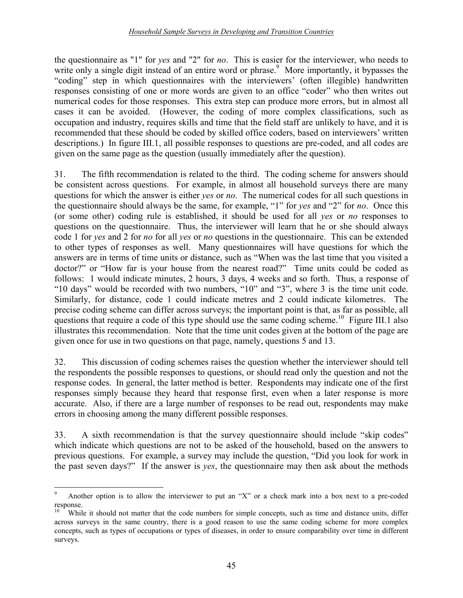the questionnaire as "1" for *yes* and "2" for *no*. This is easier for the interviewer, who needs to write only a single digit instead of an entire word or phrase.<sup>9</sup> More importantly, it bypasses the "coding" step in which questionnaires with the interviewers' (often illegible) handwritten responses consisting of one or more words are given to an office "coder" who then writes out numerical codes for those responses. This extra step can produce more errors, but in almost all cases it can be avoided. (However, the coding of more complex classifications, such as occupation and industry, requires skills and time that the field staff are unlikely to have, and it is recommended that these should be coded by skilled office coders, based on interviewers' written descriptions.) In figure III.1, all possible responses to questions are pre-coded, and all codes are given on the same page as the question (usually immediately after the question).

31. The fifth recommendation is related to the third. The coding scheme for answers should be consistent across questions. For example, in almost all household surveys there are many questions for which the answer is either *yes* or *no*. The numerical codes for all such questions in the questionnaire should always be the same, for example, "1" for *yes* and "2" for *no*. Once this (or some other) coding rule is established, it should be used for all *yes* or *no* responses to questions on the questionnaire. Thus, the interviewer will learn that he or she should always code 1 for *yes* and 2 for *no* for all *yes* or *no* questions in the questionnaire. This can be extended to other types of responses as well. Many questionnaires will have questions for which the answers are in terms of time units or distance, such as "When was the last time that you visited a doctor?" or "How far is your house from the nearest road?" Time units could be coded as follows: 1 would indicate minutes, 2 hours, 3 days, 4 weeks and so forth. Thus, a response of " $10$  days" would be recorded with two numbers, " $10$ " and " $3$ ", where  $3$  is the time unit code. Similarly, for distance, code 1 could indicate metres and 2 could indicate kilometres. The precise coding scheme can differ across surveys; the important point is that, as far as possible, all questions that require a code of this type should use the same coding scheme.<sup>10</sup> Figure III.1 also illustrates this recommendation. Note that the time unit codes given at the bottom of the page are given once for use in two questions on that page, namely, questions 5 and 13.

32. This discussion of coding schemes raises the question whether the interviewer should tell the respondents the possible responses to questions, or should read only the question and not the response codes. In general, the latter method is better. Respondents may indicate one of the first responses simply because they heard that response first, even when a later response is more accurate. Also, if there are a large number of responses to be read out, respondents may make errors in choosing among the many different possible responses.

33. A sixth recommendation is that the survey questionnaire should include "skip codes" which indicate which questions are not to be asked of the household, based on the answers to previous questions. For example, a survey may include the question, "Did you look for work in the past seven days?" If the answer is *yes*, the questionnaire may then ask about the methods

<sup>1</sup> 9 Another option is to allow the interviewer to put an "X" or a check mark into a box next to a pre-coded response.

While it should not matter that the code numbers for simple concepts, such as time and distance units, differ across surveys in the same country, there is a good reason to use the same coding scheme for more complex concepts, such as types of occupations or types of diseases, in order to ensure comparability over time in different surveys.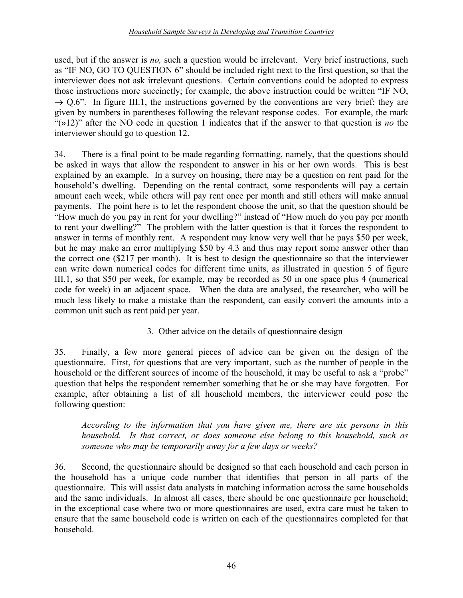used, but if the answer is *no,* such a question would be irrelevant. Very brief instructions, such as "IF NO, GO TO QUESTION 6" should be included right next to the first question, so that the interviewer does not ask irrelevant questions. Certain conventions could be adopted to express those instructions more succinctly; for example, the above instruction could be written "IF NO,  $\rightarrow$  Q.6". In figure III.1, the instructions governed by the conventions are very brief: they are given by numbers in parentheses following the relevant response codes. For example, the mark  $\frac{1}{2}$ <sup>o</sup> after the NO code in question 1 indicates that if the answer to that question is *no* the interviewer should go to question 12.

34. There is a final point to be made regarding formatting, namely, that the questions should be asked in ways that allow the respondent to answer in his or her own words. This is best explained by an example. In a survey on housing, there may be a question on rent paid for the household's dwelling. Depending on the rental contract, some respondents will pay a certain amount each week, while others will pay rent once per month and still others will make annual payments. The point here is to let the respondent choose the unit, so that the question should be "How much do you pay in rent for your dwelling?" instead of "How much do you pay per month to rent your dwelling?" The problem with the latter question is that it forces the respondent to answer in terms of monthly rent. A respondent may know very well that he pays \$50 per week, but he may make an error multiplying \$50 by 4.3 and thus may report some answer other than the correct one (\$217 per month). It is best to design the questionnaire so that the interviewer can write down numerical codes for different time units, as illustrated in question 5 of figure III.1, so that \$50 per week, for example, may be recorded as 50 in one space plus 4 (numerical code for week) in an adjacent space. When the data are analysed, the researcher, who will be much less likely to make a mistake than the respondent, can easily convert the amounts into a common unit such as rent paid per year.

## 3. Other advice on the details of questionnaire design

35. Finally, a few more general pieces of advice can be given on the design of the questionnaire. First, for questions that are very important, such as the number of people in the household or the different sources of income of the household, it may be useful to ask a "probe" question that helps the respondent remember something that he or she may have forgotten. For example, after obtaining a list of all household members, the interviewer could pose the following question:

*According to the information that you have given me, there are six persons in this household. Is that correct, or does someone else belong to this household, such as someone who may be temporarily away for a few days or weeks?* 

36. Second, the questionnaire should be designed so that each household and each person in the household has a unique code number that identifies that person in all parts of the questionnaire. This will assist data analysts in matching information across the same households and the same individuals. In almost all cases, there should be one questionnaire per household; in the exceptional case where two or more questionnaires are used, extra care must be taken to ensure that the same household code is written on each of the questionnaires completed for that household.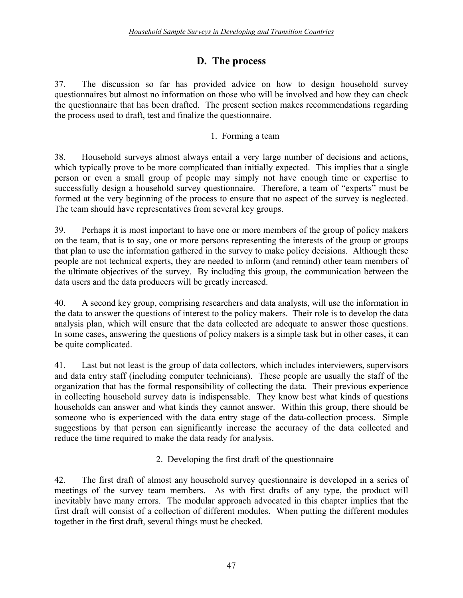# **D. The process**

37. The discussion so far has provided advice on how to design household survey questionnaires but almost no information on those who will be involved and how they can check the questionnaire that has been drafted. The present section makes recommendations regarding the process used to draft, test and finalize the questionnaire.

### 1. Forming a team

38. Household surveys almost always entail a very large number of decisions and actions, which typically prove to be more complicated than initially expected. This implies that a single person or even a small group of people may simply not have enough time or expertise to successfully design a household survey questionnaire. Therefore, a team of "experts" must be formed at the very beginning of the process to ensure that no aspect of the survey is neglected. The team should have representatives from several key groups.

39. Perhaps it is most important to have one or more members of the group of policy makers on the team, that is to say, one or more persons representing the interests of the group or groups that plan to use the information gathered in the survey to make policy decisions. Although these people are not technical experts, they are needed to inform (and remind) other team members of the ultimate objectives of the survey. By including this group, the communication between the data users and the data producers will be greatly increased.

40. A second key group, comprising researchers and data analysts, will use the information in the data to answer the questions of interest to the policy makers. Their role is to develop the data analysis plan, which will ensure that the data collected are adequate to answer those questions. In some cases, answering the questions of policy makers is a simple task but in other cases, it can be quite complicated.

41. Last but not least is the group of data collectors, which includes interviewers, supervisors and data entry staff (including computer technicians). These people are usually the staff of the organization that has the formal responsibility of collecting the data. Their previous experience in collecting household survey data is indispensable. They know best what kinds of questions households can answer and what kinds they cannot answer. Within this group, there should be someone who is experienced with the data entry stage of the data-collection process. Simple suggestions by that person can significantly increase the accuracy of the data collected and reduce the time required to make the data ready for analysis.

2. Developing the first draft of the questionnaire

42. The first draft of almost any household survey questionnaire is developed in a series of meetings of the survey team members. As with first drafts of any type, the product will inevitably have many errors. The modular approach advocated in this chapter implies that the first draft will consist of a collection of different modules. When putting the different modules together in the first draft, several things must be checked.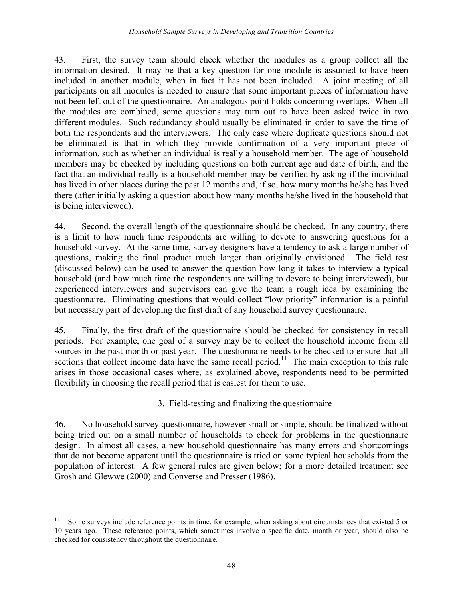43. First, the survey team should check whether the modules as a group collect all the information desired. It may be that a key question for one module is assumed to have been included in another module, when in fact it has not been included. A joint meeting of all participants on all modules is needed to ensure that some important pieces of information have not been left out of the questionnaire. An analogous point holds concerning overlaps. When all the modules are combined, some questions may turn out to have been asked twice in two different modules. Such redundancy should usually be eliminated in order to save the time of both the respondents and the interviewers. The only case where duplicate questions should not be eliminated is that in which they provide confirmation of a very important piece of information, such as whether an individual is really a household member. The age of household members may be checked by including questions on both current age and date of birth, and the fact that an individual really is a household member may be verified by asking if the individual has lived in other places during the past 12 months and, if so, how many months he/she has lived there (after initially asking a question about how many months he/she lived in the household that is being interviewed).

44. Second, the overall length of the questionnaire should be checked. In any country, there is a limit to how much time respondents are willing to devote to answering questions for a household survey. At the same time, survey designers have a tendency to ask a large number of questions, making the final product much larger than originally envisioned. The field test (discussed below) can be used to answer the question how long it takes to interview a typical household (and how much time the respondents are willing to devote to being interviewed), but experienced interviewers and supervisors can give the team a rough idea by examining the questionnaire. Eliminating questions that would collect "low priority" information is a painful but necessary part of developing the first draft of any household survey questionnaire.

45. Finally, the first draft of the questionnaire should be checked for consistency in recall periods. For example, one goal of a survey may be to collect the household income from all sources in the past month or past year. The questionnaire needs to be checked to ensure that all sections that collect income data have the same recall period.<sup>11</sup> The main exception to this rule arises in those occasional cases where, as explained above, respondents need to be permitted flexibility in choosing the recall period that is easiest for them to use.

3. Field-testing and finalizing the questionnaire

46. No household survey questionnaire, however small or simple, should be finalized without being tried out on a small number of households to check for problems in the questionnaire design. In almost all cases, a new household questionnaire has many errors and shortcomings that do not become apparent until the questionnaire is tried on some typical households from the population of interest. A few general rules are given below; for a more detailed treatment see Grosh and Glewwe (2000) and Converse and Presser (1986).

 $\overline{a}$ 11 Some surveys include reference points in time, for example, when asking about circumstances that existed 5 or 10 years ago. These reference points, which sometimes involve a specific date, month or year, should also be checked for consistency throughout the questionnaire.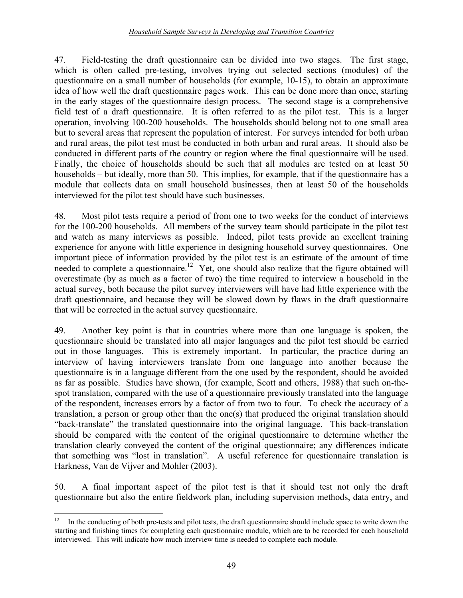47. Field-testing the draft questionnaire can be divided into two stages. The first stage, which is often called pre-testing, involves trying out selected sections (modules) of the questionnaire on a small number of households (for example, 10-15), to obtain an approximate idea of how well the draft questionnaire pages work. This can be done more than once, starting in the early stages of the questionnaire design process. The second stage is a comprehensive field test of a draft questionnaire. It is often referred to as the pilot test. This is a larger operation, involving 100-200 households. The households should belong not to one small area but to several areas that represent the population of interest. For surveys intended for both urban and rural areas, the pilot test must be conducted in both urban and rural areas. It should also be conducted in different parts of the country or region where the final questionnaire will be used. Finally, the choice of households should be such that all modules are tested on at least 50 households – but ideally, more than 50. This implies, for example, that if the questionnaire has a module that collects data on small household businesses, then at least 50 of the households interviewed for the pilot test should have such businesses.

48. Most pilot tests require a period of from one to two weeks for the conduct of interviews for the 100-200 households. All members of the survey team should participate in the pilot test and watch as many interviews as possible. Indeed, pilot tests provide an excellent training experience for anyone with little experience in designing household survey questionnaires. One important piece of information provided by the pilot test is an estimate of the amount of time needed to complete a questionnaire.<sup>12</sup> Yet, one should also realize that the figure obtained will overestimate (by as much as a factor of two) the time required to interview a household in the actual survey, both because the pilot survey interviewers will have had little experience with the draft questionnaire, and because they will be slowed down by flaws in the draft questionnaire that will be corrected in the actual survey questionnaire.

49. Another key point is that in countries where more than one language is spoken, the questionnaire should be translated into all major languages and the pilot test should be carried out in those languages. This is extremely important. In particular, the practice during an interview of having interviewers translate from one language into another because the questionnaire is in a language different from the one used by the respondent, should be avoided as far as possible. Studies have shown, (for example, Scott and others, 1988) that such on-thespot translation, compared with the use of a questionnaire previously translated into the language of the respondent, increases errors by a factor of from two to four. To check the accuracy of a translation, a person or group other than the one(s) that produced the original translation should ìback-translateî the translated questionnaire into the original language. This back-translation should be compared with the content of the original questionnaire to determine whether the translation clearly conveyed the content of the original questionnaire; any differences indicate that something was "lost in translation". A useful reference for questionnaire translation is Harkness, Van de Vijver and Mohler (2003).

50. A final important aspect of the pilot test is that it should test not only the draft questionnaire but also the entire fieldwork plan, including supervision methods, data entry, and

 $12\,$ 12 In the conducting of both pre-tests and pilot tests, the draft questionnaire should include space to write down the starting and finishing times for completing each questionnaire module, which are to be recorded for each household interviewed. This will indicate how much interview time is needed to complete each module.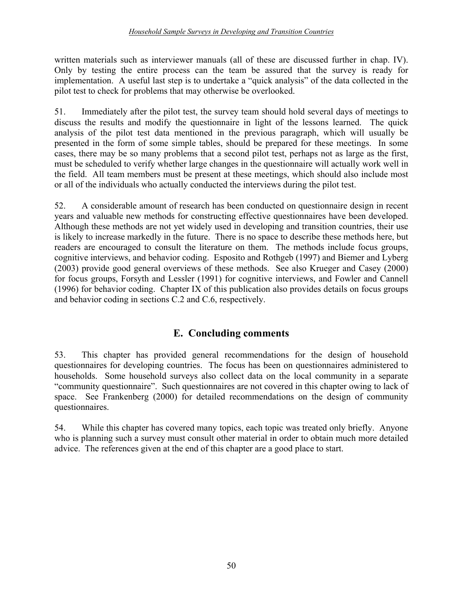written materials such as interviewer manuals (all of these are discussed further in chap. IV). Only by testing the entire process can the team be assured that the survey is ready for implementation. A useful last step is to undertake a "quick analysis" of the data collected in the pilot test to check for problems that may otherwise be overlooked.

51. Immediately after the pilot test, the survey team should hold several days of meetings to discuss the results and modify the questionnaire in light of the lessons learned. The quick analysis of the pilot test data mentioned in the previous paragraph, which will usually be presented in the form of some simple tables, should be prepared for these meetings. In some cases, there may be so many problems that a second pilot test, perhaps not as large as the first, must be scheduled to verify whether large changes in the questionnaire will actually work well in the field. All team members must be present at these meetings, which should also include most or all of the individuals who actually conducted the interviews during the pilot test.

52. A considerable amount of research has been conducted on questionnaire design in recent years and valuable new methods for constructing effective questionnaires have been developed. Although these methods are not yet widely used in developing and transition countries, their use is likely to increase markedly in the future. There is no space to describe these methods here, but readers are encouraged to consult the literature on them. The methods include focus groups, cognitive interviews, and behavior coding. Esposito and Rothgeb (1997) and Biemer and Lyberg (2003) provide good general overviews of these methods. See also Krueger and Casey (2000) for focus groups, Forsyth and Lessler (1991) for cognitive interviews, and Fowler and Cannell (1996) for behavior coding. Chapter IX of this publication also provides details on focus groups and behavior coding in sections C.2 and C.6, respectively.

# **E. Concluding comments**

53. This chapter has provided general recommendations for the design of household questionnaires for developing countries. The focus has been on questionnaires administered to households. Some household surveys also collect data on the local community in a separate ìcommunity questionnaireî. Such questionnaires are not covered in this chapter owing to lack of space. See Frankenberg (2000) for detailed recommendations on the design of community questionnaires.

54. While this chapter has covered many topics, each topic was treated only briefly. Anyone who is planning such a survey must consult other material in order to obtain much more detailed advice. The references given at the end of this chapter are a good place to start.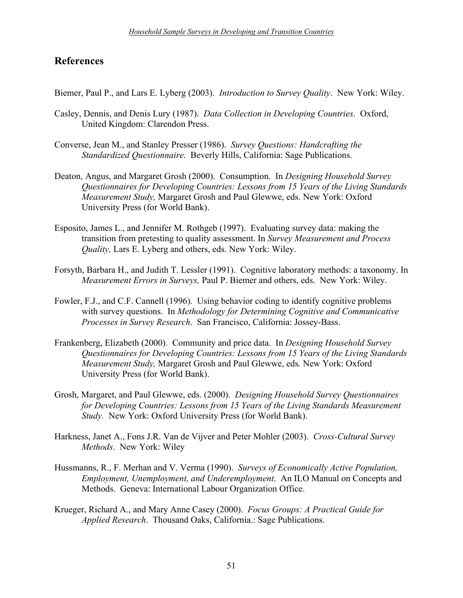# **References**

Biemer, Paul P., and Lars E. Lyberg (2003). *Introduction to Survey Quality*. New York: Wiley.

- Casley, Dennis, and Denis Lury (1987). *Data Collection in Developing Countries*. Oxford, United Kingdom: Clarendon Press.
- Converse, Jean M., and Stanley Presser (1986). *Survey Questions: Handcrafting the Standardized Questionnaire*. Beverly Hills, California: Sage Publications.
- Deaton, Angus, and Margaret Grosh (2000). Consumption. In *Designing Household Survey Questionnaires for Developing Countries: Lessons from 15 Years of the Living Standards Measurement Study,* Margaret Grosh and Paul Glewwe, eds. New York: Oxford University Press (for World Bank).
- Esposito, James L., and Jennifer M. Rothgeb (1997). Evaluating survey data: making the transition from pretesting to quality assessment. In *Survey Measurement and Process Quality,* Lars E. Lyberg and others, eds. New York: Wiley.
- Forsyth, Barbara H., and Judith T. Lessler (1991). Cognitive laboratory methods: a taxonomy. In *Measurement Errors in Surveys,* Paul P. Biemer and others, eds. New York: Wiley.
- Fowler, F.J., and C.F. Cannell (1996). Using behavior coding to identify cognitive problems with survey questions. In *Methodology for Determining Cognitive and Communicative Processes in Survey Research*. San Francisco, California: Jossey-Bass.
- Frankenberg, Elizabeth (2000). Community and price data. In *Designing Household Survey Questionnaires for Developing Countries: Lessons from 15 Years of the Living Standards Measurement Study,* Margaret Grosh and Paul Glewwe, eds*.* New York: Oxford University Press (for World Bank).
- Grosh, Margaret, and Paul Glewwe, eds. (2000). *Designing Household Survey Questionnaires for Developing Countries: Lessons from 15 Years of the Living Standards Measurement Study.* New York: Oxford University Press (for World Bank).
- Harkness, Janet A., Fons J.R. Van de Vijver and Peter Mohler (2003). *Cross-Cultural Survey Methods*. New York: Wiley
- Hussmanns, R., F. Merhan and V. Verma (1990). *Surveys of Economically Active Population, Employment, Unemployment, and Underemployment*. An ILO Manual on Concepts and Methods. Geneva: International Labour Organization Office.
- Krueger, Richard A., and Mary Anne Casey (2000). *Focus Groups: A Practical Guide for Applied Research*. Thousand Oaks, California.: Sage Publications.